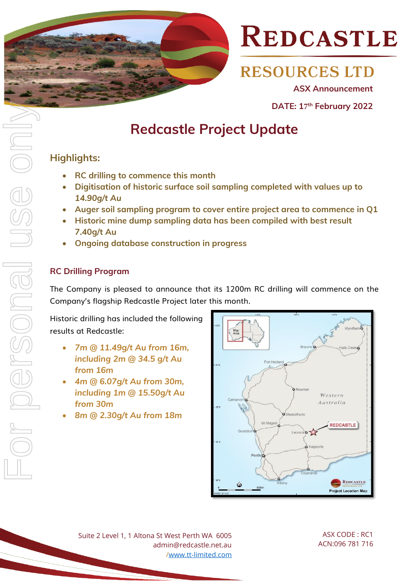

**RESOURCES LTD** 

**ASX Announcement** 

**DATE: 17 th February 2022** 

### **Redcastle Project Update**

### **Highlights:**

- **RC drilling to commence this month**
- **Digitisation of historic surface soil sampling completed with values up to** *14.90g/t Au*
- **Auger soil sampling program to cover entire project area to commence in Q1**
- **Historic mine dump sampling data has been compiled with best result 7.40g/t Au**
- **Ongoing database construction in progress**

### **RC Drilling Program**

The Company is pleased to announce that its 1200m RC drilling will commence on the Company's flagship Redcastle Project later this month.

Historic drilling has included the following results at Redcastle:

- *7m @ 11.49g/t Au from 16m, including 2m @ 34.5 g/t Au from 16m*
- *4m @ 6.07g/t Au from 30m, including 1m @ 15.50g/t Au from 30m*
- *8m @ 2.30g/t Au from 18m*



Suite 2 Level 1, 1 Altona St West Perth WA 6005 admin@redcastle.net.au [/www.tt-limited.com](http://www.tt-limited.com/)

ASX CODE : RC1 ACN:096 781 716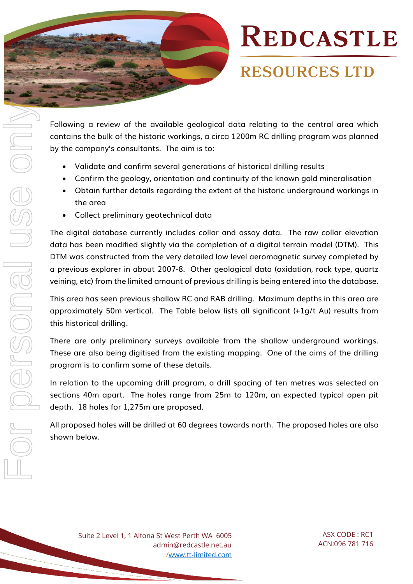

## **RESOURCES LTD**

Following a review of the available geological data relating to the central area which contains the bulk of the historic workings, a circa 1200m RC drilling program was planned by the company's consultants. The aim is to:

- Validate and confirm several generations of historical drilling results
- Confirm the geology, orientation and continuity of the known gold mineralisation
- Obtain further details regarding the extent of the historic underground workings in the area
- Collect preliminary geotechnical data

The digital database currently includes collar and assay data. The raw collar elevation data has been modified slightly via the completion of a digital terrain model (DTM). This DTM was constructed from the very detailed low level aeromagnetic survey completed by a previous explorer in about 2007-8. Other geological data (oxidation, rock type, quartz veining, etc) from the limited amount of previous drilling is being entered into the database.

This area has seen previous shallow RC and RAB drilling. Maximum depths in this area are approximately 50m vertical. The Table below lists all significant (+1g/t Au) results from this historical drilling.

There are only preliminary surveys available from the shallow underground workings. These are also being digitised from the existing mapping. One of the aims of the drilling program is to confirm some of these details.

In relation to the upcoming drill program, a drill spacing of ten metres was selected on sections 40m apart. The holes range from 25m to 120m, an expected typical open pit depth. 18 holes for 1,275m are proposed.

All proposed holes will be drilled at 60 degrees towards north. The proposed holes are also shown below.

Suite 2 Level 1, 1 Altona St West Perth WA 6005 admin@redcastle.net.au [/www.tt-limited.com](http://www.tt-limited.com/)

ASX CODE : RC1 ACN:096 781 716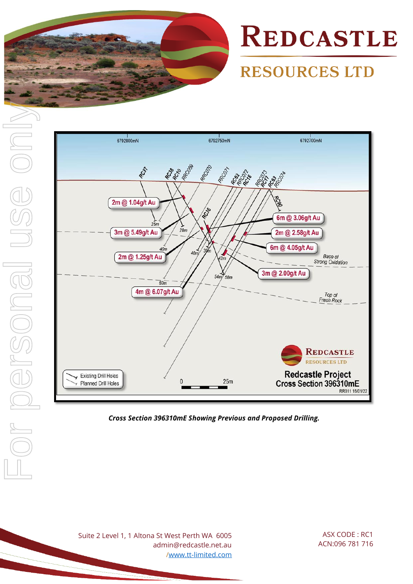

## **RESOURCES LTD**





*Cross Section 396310mE Showing Previous and Proposed Drilling.*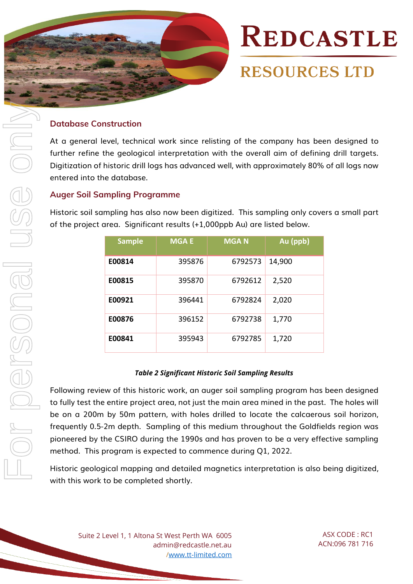

**RESOURCES LTD** 

#### **Database Construction**

At a general level, technical work since relisting of the company has been designed to further refine the geological interpretation with the overall aim of defining drill targets. Digitization of historic drill logs has advanced well, with approximately 80% of all logs now entered into the database.

#### **Auger Soil Sampling Programme**

Historic soil sampling has also now been digitized. This sampling only covers a small part of the project area. Significant results (+1,000ppb Au) are listed below.

| <b>Sample</b> | <b>MGAE</b> | <b>MGAN</b> | Au (ppb) |
|---------------|-------------|-------------|----------|
| E00814        | 395876      | 6792573     | 14,900   |
| E00815        | 395870      | 6792612     | 2,520    |
| E00921        | 396441      | 6792824     | 2,020    |
| E00876        | 396152      | 6792738     | 1,770    |
| E00841        | 395943      | 6792785     | 1,720    |

#### *Table 2 Significant Historic Soil Sampling Results*

Following review of this historic work, an auger soil sampling program has been designed to fully test the entire project area, not just the main area mined in the past. The holes will be on a 200m by 50m pattern, with holes drilled to locate the calcaerous soil horizon, frequently 0.5-2m depth. Sampling of this medium throughout the Goldfields region was pioneered by the CSIRO during the 1990s and has proven to be a very effective sampling method. This program is expected to commence during Q1, 2022.

Historic geological mapping and detailed magnetics interpretation is also being digitized, with this work to be completed shortly.

Suite 2 Level 1, 1 Altona St West Perth WA 6005 admin@redcastle.net.au [/www.tt-limited.com](http://www.tt-limited.com/)

ASX CODE : RC1 ACN:096 781 716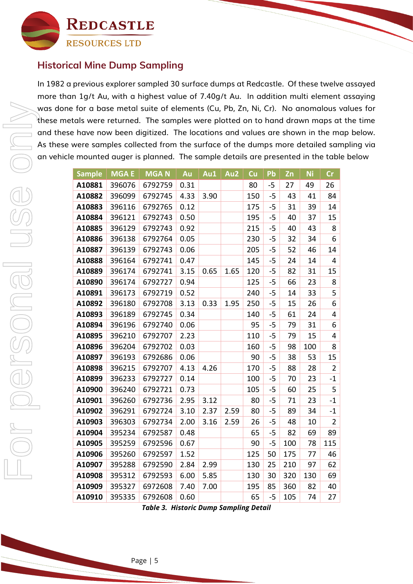

### **Historical Mine Dump Sampling**

In 1982 a previous explorer sampled 30 surface dumps at Redcastle. Of these twelve assayed more than 1g/t Au, with a highest value of 7.40g/t Au. In addition multi element assaying was done for a base metal suite of elements (Cu, Pb, Zn, Ni, Cr). No anomalous values for these metals were returned. The samples were plotted on to hand drawn maps at the time and these have now been digitized. The locations and values are shown in the map below. As these were samples collected from the surface of the dumps more detailed sampling via an vehicle mounted auger is planned. The sample details are presented in the table below

| <b>Sample</b> | <b>MGAE</b> | <b>MGAN</b> | Au   | Au1  | Au2  | Cu  | Pb   | Zn  | <b>Ni</b> | Cr             |
|---------------|-------------|-------------|------|------|------|-----|------|-----|-----------|----------------|
| A10881        | 396076      | 6792759     | 0.31 |      |      | 80  | $-5$ | 27  | 49        | 26             |
| A10882        | 396099      | 6792745     | 4.33 | 3.90 |      | 150 | -5   | 43  | 41        | 84             |
| A10883        | 396116      | 6792765     | 0.12 |      |      | 175 | -5   | 31  | 39        | 14             |
| A10884        | 396121      | 6792743     | 0.50 |      |      | 195 | -5   | 40  | 37        | 15             |
| A10885        | 396129      | 6792743     | 0.92 |      |      | 215 | -5   | 40  | 43        | 8              |
| A10886        | 396138      | 6792764     | 0.05 |      |      | 230 | -5   | 32  | 34        | 6              |
| A10887        | 396139      | 6792743     | 0.06 |      |      | 205 | -5   | 52  | 46        | 14             |
| A10888        | 396164      | 6792741     | 0.47 |      |      | 145 | -5   | 24  | 14        | 4              |
| A10889        | 396174      | 6792741     | 3.15 | 0.65 | 1.65 | 120 | -5   | 82  | 31        | 15             |
| A10890        | 396174      | 6792727     | 0.94 |      |      | 125 | -5   | 66  | 23        | 8              |
| A10891        | 396173      | 6792719     | 0.52 |      |      | 240 | -5   | 14  | 33        | 5              |
| A10892        | 396180      | 6792708     | 3.13 | 0.33 | 1.95 | 250 | -5   | 15  | 26        | 6              |
| A10893        | 396189      | 6792745     | 0.34 |      |      | 140 | -5   | 61  | 24        | 4              |
| A10894        | 396196      | 6792740     | 0.06 |      |      | 95  | $-5$ | 79  | 31        | 6              |
| A10895        | 396210      | 6792707     | 2.23 |      |      | 110 | -5   | 79  | 15        | 4              |
| A10896        | 396204      | 6792702     | 0.03 |      |      | 160 | -5   | 98  | 100       | 8              |
| A10897        | 396193      | 6792686     | 0.06 |      |      | 90  | -5   | 38  | 53        | 15             |
| A10898        | 396215      | 6792707     | 4.13 | 4.26 |      | 170 | -5   | 88  | 28        | $\overline{2}$ |
| A10899        | 396233      | 6792727     | 0.14 |      |      | 100 | -5   | 70  | 23        | $-1$           |
| A10900        | 396240      | 6792721     | 0.73 |      |      | 105 | -5   | 60  | 25        | 5              |
| A10901        | 396260      | 6792736     | 2.95 | 3.12 |      | 80  | -5   | 71  | 23        | $-1$           |
| A10902        | 396291      | 6792724     | 3.10 | 2.37 | 2.59 | 80  | -5   | 89  | 34        | $-1$           |
| A10903        | 396303      | 6792734     | 2.00 | 3.16 | 2.59 | 26  | -5   | 48  | 10        | $\overline{2}$ |
| A10904        | 395234      | 6792587     | 0.48 |      |      | 65  | -5   | 82  | 69        | 89             |
| A10905        | 395259      | 6792596     | 0.67 |      |      | 90  | -5   | 100 | 78        | 115            |
| A10906        | 395260      | 6792597     | 1.52 |      |      | 125 | 50   | 175 | 77        | 46             |
| A10907        | 395288      | 6792590     | 2.84 | 2.99 |      | 130 | 25   | 210 | 97        | 62             |
| A10908        | 395312      | 6792593     | 6.00 | 5.85 |      | 130 | 30   | 320 | 130       | 69             |
| A10909        | 395327      | 6972608     | 7.40 | 7.00 |      | 195 | 85   | 360 | 82        | 40             |
| A10910        | 395335      | 6792608     | 0.60 |      |      | 65  | $-5$ | 105 | 74        | 27             |

*Table 3. Historic Dump Sampling Detail*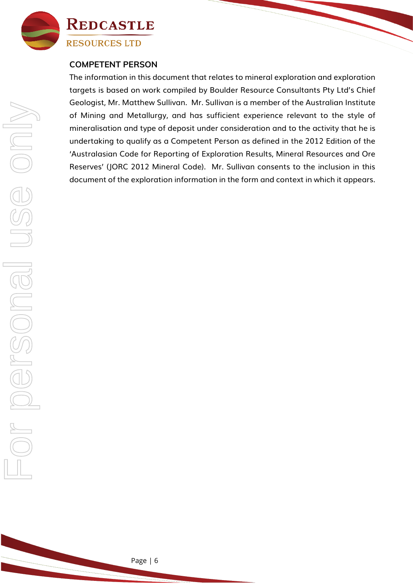

#### **COMPETENT PERSON**

The information in this document that relates to mineral exploration and exploration targets is based on work compiled by Boulder Resource Consultants Pty Ltd's Chief Geologist, Mr. Matthew Sullivan. Mr. Sullivan is a member of the Australian Institute of Mining and Metallurgy, and has sufficient experience relevant to the style of mineralisation and type of deposit under consideration and to the activity that he is undertaking to qualify as a Competent Person as defined in the 2012 Edition of the 'Australasian Code for Reporting of Exploration Results, Mineral Resources and Ore Reserves' (JORC 2012 Mineral Code). Mr. Sullivan consents to the inclusion in this document of the exploration information in the form and context in which it appears.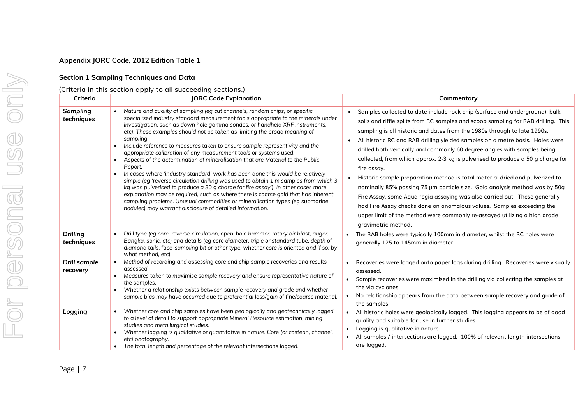#### **Appendix JORC Code, 2012 Edition Table 1**

#### **Section 1 Sampling Techniques and Data**

#### (Criteria in this section apply to all succeeding sections.)

| Criteria                        | <b>JORC Code Explanation</b>                                                                                                                                                                                                                                                                                                                                                                                                                                                                                                                                                                                                                                                                                                                                                                                                                                                                                                                                                                                                                                                                                       | Commentary                                                                                                                                                                                                                                                                                                                                                                                                                                                                                                                                                                                                                                                                                                                                                                                                                                                                                                                                                                  |  |  |  |
|---------------------------------|--------------------------------------------------------------------------------------------------------------------------------------------------------------------------------------------------------------------------------------------------------------------------------------------------------------------------------------------------------------------------------------------------------------------------------------------------------------------------------------------------------------------------------------------------------------------------------------------------------------------------------------------------------------------------------------------------------------------------------------------------------------------------------------------------------------------------------------------------------------------------------------------------------------------------------------------------------------------------------------------------------------------------------------------------------------------------------------------------------------------|-----------------------------------------------------------------------------------------------------------------------------------------------------------------------------------------------------------------------------------------------------------------------------------------------------------------------------------------------------------------------------------------------------------------------------------------------------------------------------------------------------------------------------------------------------------------------------------------------------------------------------------------------------------------------------------------------------------------------------------------------------------------------------------------------------------------------------------------------------------------------------------------------------------------------------------------------------------------------------|--|--|--|
| Sampling<br>techniques          | Nature and quality of sampling (eg cut channels, random chips, or specific<br>specialised industry standard measurement tools appropriate to the minerals under<br>investigation, such as down hole gamma sondes, or handheld XRF instruments,<br>etc). These examples should not be taken as limiting the broad meaning of<br>sampling.<br>Include reference to measures taken to ensure sample representivity and the<br>appropriate calibration of any measurement tools or systems used.<br>Aspects of the determination of mineralisation that are Material to the Public<br>$\bullet$<br>Report.<br>In cases where 'industry standard' work has been done this would be relatively<br>$\bullet$<br>simple (eg 'reverse circulation drilling was used to obtain 1 m samples from which 3<br>kg was pulverised to produce a 30 g charge for fire assay'). In other cases more<br>explanation may be required, such as where there is coarse gold that has inherent<br>sampling problems. Unusual commodities or mineralisation types (eq submarine<br>nodules) may warrant disclosure of detailed information. | Samples collected to date include rock chip (surface and underground), bulk<br>$\bullet$<br>soils and riffle splits from RC samples and scoop sampling for RAB drilling. This<br>sampling is all historic and dates from the 1980s through to late 1990s.<br>All historic RC and RAB drilling yielded samples on a metre basis. Holes were<br>$\bullet$<br>drilled both vertically and commonly 60 degree angles with samples being<br>collected, from which approx. 2-3 kg is pulverised to produce a 50 g charge for<br>fire assay.<br>Historic sample preparation method is total material dried and pulverized to<br>$\bullet$<br>nominally 85% passing 75 µm particle size. Gold analysis method was by 50g<br>Fire Assay, some Aqua regia assaying was also carried out. These generally<br>had Fire Assay checks done on anomalous values. Samples exceeding the<br>upper limit of the method were commonly re-assayed utilizing a high grade<br>gravimetric method. |  |  |  |
| <b>Drilling</b><br>techniques   | Drill type (eg core, reverse circulation, open-hole hammer, rotary air blast, auger,<br>Bangka, sonic, etc) and details (eg core diameter, triple or standard tube, depth of<br>diamond tails, face-sampling bit or other type, whether core is oriented and if so, by<br>what method, etc).                                                                                                                                                                                                                                                                                                                                                                                                                                                                                                                                                                                                                                                                                                                                                                                                                       | The RAB holes were typically 100mm in diameter, whilst the RC holes were<br>generally 125 to 145mm in diameter.                                                                                                                                                                                                                                                                                                                                                                                                                                                                                                                                                                                                                                                                                                                                                                                                                                                             |  |  |  |
| <b>Drill sample</b><br>recovery | Method of recording and assessing core and chip sample recoveries and results<br>$\bullet$<br>assessed.<br>Measures taken to maximise sample recovery and ensure representative nature of<br>the samples.<br>Whether a relationship exists between sample recovery and grade and whether<br>sample bias may have occurred due to preferential loss/gain of fine/coarse material.                                                                                                                                                                                                                                                                                                                                                                                                                                                                                                                                                                                                                                                                                                                                   | Recoveries were logged onto paper logs during drilling. Recoveries were visually<br>assessed.<br>Sample recoveries were maximised in the drilling via collecting the samples at<br>the via cyclones.<br>No relationship appears from the data between sample recovery and grade of<br>the samples.                                                                                                                                                                                                                                                                                                                                                                                                                                                                                                                                                                                                                                                                          |  |  |  |
| Logging                         | Whether core and chip samples have been geologically and geotechnically logged<br>to a level of detail to support appropriate Mineral Resource estimation, mining<br>studies and metallurgical studies.<br>Whether logging is qualitative or quantitative in nature. Core (or costean, channel,<br>etc) photography.<br>The total length and percentage of the relevant intersections logged.                                                                                                                                                                                                                                                                                                                                                                                                                                                                                                                                                                                                                                                                                                                      | All historic holes were geologically logged. This logging appears to be of good<br>quality and suitable for use in further studies.<br>Logging is qualitative in nature.<br>$\bullet$<br>All samples / intersections are logged. 100% of relevant length intersections<br>are logged.                                                                                                                                                                                                                                                                                                                                                                                                                                                                                                                                                                                                                                                                                       |  |  |  |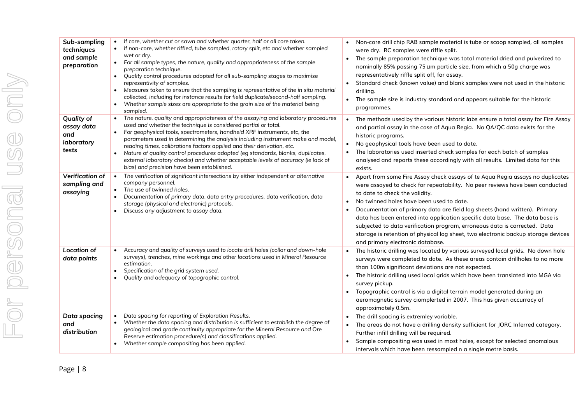| Sub-sampling<br>techniques<br>and sample<br>preparation       | If core, whether cut or sawn and whether quarter, half or all core taken.<br>$\bullet$<br>If non-core, whether riffled, tube sampled, rotary split, etc and whether sampled<br>$\bullet$<br>wet or dry.<br>For all sample types, the nature, quality and appropriateness of the sample<br>preparation technique.<br>Quality control procedures adopted for all sub-sampling stages to maximise<br>$\bullet$<br>representivity of samples.<br>Measures taken to ensure that the sampling is representative of the in situ material<br>collected, including for instance results for field duplicate/second-half sampling.<br>Whether sample sizes are appropriate to the grain size of the material being<br>sampled. | • Non-core drill chip RAB sample material is tube or scoop sampled, all samples<br>were dry. RC samples were riffle split.<br>The sample preparation technique was total material dried and pulverized to<br>nominally 85% passing 75 µm particle size, from which a 50g charge was<br>representatively riffle split off, for assay.<br>Standard check (known value) and blank samples were not used in the historic<br>drilling.<br>• The sample size is industry standard and appears suitable for the historic<br>programmes.                                                                                            |
|---------------------------------------------------------------|----------------------------------------------------------------------------------------------------------------------------------------------------------------------------------------------------------------------------------------------------------------------------------------------------------------------------------------------------------------------------------------------------------------------------------------------------------------------------------------------------------------------------------------------------------------------------------------------------------------------------------------------------------------------------------------------------------------------|-----------------------------------------------------------------------------------------------------------------------------------------------------------------------------------------------------------------------------------------------------------------------------------------------------------------------------------------------------------------------------------------------------------------------------------------------------------------------------------------------------------------------------------------------------------------------------------------------------------------------------|
| <b>Quality of</b><br>assay data<br>and<br>laboratory<br>tests | • The nature, quality and appropriateness of the assaying and laboratory procedures<br>used and whether the technique is considered partial or total.<br>For geophysical tools, spectrometers, handheld XRF instruments, etc, the<br>$\bullet$<br>parameters used in determining the analysis including instrument make and model,<br>reading times, calibrations factors applied and their derivation, etc.<br>Nature of quality control procedures adopted (eg standards, blanks, duplicates,<br>external laboratory checks) and whether acceptable levels of accuracy (ie lack of<br>bias) and precision have been established.                                                                                   | The methods used by the various historic labs ensure a total assay for Fire Assay<br>$\bullet$<br>and partial assay in the case of Aqua Regia. No QA/QC data exists for the<br>historic programs.<br>No geophysical tools have been used to date.<br>$\bullet$<br>The laboratories used inserted check samples for each batch of samples<br>$\bullet$<br>analysed and reports these accordingly with all results. Limited data for this<br>exists.                                                                                                                                                                          |
| Verification of<br>sampling and<br>assaying                   | The verification of significant intersections by either independent or alternative<br>$\bullet$<br>company personnel.<br>• The use of twinned holes.<br>Documentation of primary data, data entry procedures, data verification, data<br>storage (physical and electronic) protocols.<br>Discuss any adjustment to assay data.                                                                                                                                                                                                                                                                                                                                                                                       | Apart from some Fire Assay check assays of te Aqua Regia assays no duplicates<br>$\bullet$<br>were assayed to check for repeatability. No peer reviews have been conducted<br>to date to check the validity.<br>No twinned holes have been used to date.<br>Documentation of primary data are field log sheets (hand written). Primary<br>data has been entered into application specific data base. The data base is<br>subjected to data verification program, erroneous data is corrected. Data<br>storage is retention of physical log sheet, two electronic backup storage devices<br>and primary electronic database. |
| <b>Location of</b><br>data points                             | Accuracy and quality of surveys used to locate drill holes (collar and down-hole<br>surveys), trenches, mine workings and other locations used in Mineral Resource<br>estimation.<br>Specification of the grid system used.<br>Quality and adequacy of topographic control.                                                                                                                                                                                                                                                                                                                                                                                                                                          | The historic drilling was located by various surveyed local grids. No down hole<br>surveys were completed to date. As these areas contain drillholes to no more<br>than 100m significant deviations are not expected.<br>The historic drilling used local grids which have been translated into MGA via<br>$\bullet$<br>survey pickup.<br>Topographic control is via a digital terrain model generated during an<br>$\bullet$<br>aeromagnetic survey ciomplerted in 2007. This has given accurracy of<br>approximately 0.5m.                                                                                                |
| Data spacing<br>and<br>distribution                           | Data spacing for reporting of Exploration Results.<br>$\bullet$<br>Whether the data spacing and distribution is sufficient to establish the degree of<br>geological and grade continuity appropriate for the Mineral Resource and Ore<br>Reserve estimation procedure(s) and classifications applied.<br>Whether sample compositing has been applied.<br>$\bullet$                                                                                                                                                                                                                                                                                                                                                   | The drill spacing is extremley variable.<br>The areas do not have a drilling density sufficient for JORC Inferred category.<br>Further infill drilling will be required.<br>Sample compositing was used in most holes, except for selected anomalous<br>$\bullet$<br>intervals which have been ressampled n a single metre basis.                                                                                                                                                                                                                                                                                           |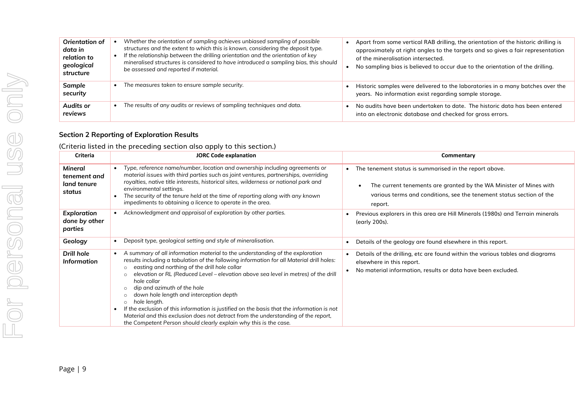| Orientation of<br>data in<br>relation to<br>geological<br>structure | Whether the orientation of sampling achieves unbiased sampling of possible<br>structures and the extent to which this is known, considering the deposit type.<br>If the relationship between the drilling orientation and the orientation of key<br>mineralised structures is considered to have introduced a sampling bias, this should<br>be assessed and reported if material. | Apart from some vertical RAB drilling, the orientation of the historic drilling is<br>approximately at right angles to the targets and so gives a fair representation<br>of the mineralisation intersected.<br>No sampling bias is believed to occur due to the orientation of the drilling. |
|---------------------------------------------------------------------|-----------------------------------------------------------------------------------------------------------------------------------------------------------------------------------------------------------------------------------------------------------------------------------------------------------------------------------------------------------------------------------|----------------------------------------------------------------------------------------------------------------------------------------------------------------------------------------------------------------------------------------------------------------------------------------------|
| Sample<br>security                                                  | The measures taken to ensure sample security.                                                                                                                                                                                                                                                                                                                                     | Historic samples were delivered to the laboratories in a many batches over the<br>years. No information exist regarding sample storage.                                                                                                                                                      |
| Audits or<br>reviews                                                | The results of any audits or reviews of sampling techniques and data.                                                                                                                                                                                                                                                                                                             | No audits have been undertaken to date. The historic data has been entered<br>into an electronic database and checked for gross errors.                                                                                                                                                      |

#### **Section 2 Reporting of Exploration Results**

(Criteria listed in the preceding section also apply to this section.)

| <b>Criteria</b>                                  | <b>JORC Code explanation</b>                                                                                                                                                                                                                                                                                                                                                                                                                                                                                                                                                                                                                                                                                          | Commentary                                                                                                                                                                                                                   |
|--------------------------------------------------|-----------------------------------------------------------------------------------------------------------------------------------------------------------------------------------------------------------------------------------------------------------------------------------------------------------------------------------------------------------------------------------------------------------------------------------------------------------------------------------------------------------------------------------------------------------------------------------------------------------------------------------------------------------------------------------------------------------------------|------------------------------------------------------------------------------------------------------------------------------------------------------------------------------------------------------------------------------|
| Mineral<br>tenement and<br>land tenure<br>status | Type, reference name/number, location and ownership including agreements or<br>material issues with third parties such as joint ventures, partnerships, overriding<br>royalties, native title interests, historical sites, wilderness or national park and<br>environmental settings.<br>The security of the tenure held at the time of reporting along with any known<br>impediments to obtaining a licence to operate in the area.                                                                                                                                                                                                                                                                                  | The tenement status is summarised in the report above.<br>The current tenements are granted by the WA Minister of Mines with<br>$\bullet$<br>various terms and conditions, see the tenement status section of the<br>report. |
| <b>Exploration</b><br>done by other<br>parties   | Acknowledgment and appraisal of exploration by other parties.                                                                                                                                                                                                                                                                                                                                                                                                                                                                                                                                                                                                                                                         | Previous explorers in this area are Hill Minerals (1980s) and Terrain minerals<br>(early 200s).                                                                                                                              |
| Geology                                          | Deposit type, geological setting and style of mineralisation.                                                                                                                                                                                                                                                                                                                                                                                                                                                                                                                                                                                                                                                         | Details of the geology are found elsewhere in this report.                                                                                                                                                                   |
| Drill hole<br><b>Information</b>                 | A summary of all information material to the understanding of the exploration<br>results including a tabulation of the following information for all Material drill holes:<br>easting and northing of the drill hole collar<br>elevation or RL (Reduced Level – elevation above sea level in metres) of the drill<br>$\Omega$<br>hole collar<br>dip and azimuth of the hole<br>$\circ$<br>down hole length and interception depth<br>hole length.<br>$\circ$<br>If the exclusion of this information is justified on the basis that the information is not<br>Material and this exclusion does not detract from the understanding of the report,<br>the Competent Person should clearly explain why this is the case. | Details of the drilling, etc are found within the various tables and diagrams<br>elsewhere in this report.<br>No material information, results or data have been excluded.                                                   |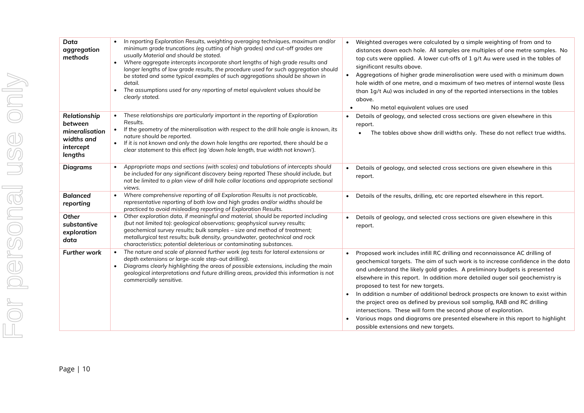| Data<br>aggregation<br>methods                                                  | In reporting Exploration Results, weighting averaging techniques, maximum and/or<br>$\bullet$<br>minimum grade truncations (eg cutting of high grades) and cut-off grades are<br>usually Material and should be stated.<br>Where aggregate intercepts incorporate short lengths of high grade results and<br>$\bullet$<br>longer lengths of low grade results, the procedure used for such aggregation should<br>be stated and some typical examples of such aggregations should be shown in<br>detail.<br>The assumptions used for any reporting of metal equivalent values should be<br>$\bullet$<br>clearly stated. | Weighted averages were calculated by a simple weighting of from and to<br>distances down each hole. All samples are multiples of one metre samples. No<br>top cuts were applied. A lower cut-offs of 1 g/t Au were used in the tables of<br>significant results above.<br>Aggregations of higher grade mineralisation were used with a minimum down<br>$\bullet$<br>hole width of one metre, and a maximum of two metres of internal waste (less<br>than 1g/t Au) was included in any of the reported intersections in the tables<br>above.<br>No metal equivalent values are used                                                                                                                                                         |
|---------------------------------------------------------------------------------|------------------------------------------------------------------------------------------------------------------------------------------------------------------------------------------------------------------------------------------------------------------------------------------------------------------------------------------------------------------------------------------------------------------------------------------------------------------------------------------------------------------------------------------------------------------------------------------------------------------------|--------------------------------------------------------------------------------------------------------------------------------------------------------------------------------------------------------------------------------------------------------------------------------------------------------------------------------------------------------------------------------------------------------------------------------------------------------------------------------------------------------------------------------------------------------------------------------------------------------------------------------------------------------------------------------------------------------------------------------------------|
| Relationship<br>between<br>mineralisation<br>widths and<br>intercept<br>lengths | These relationships are particularly important in the reporting of Exploration<br>Results.<br>If the geometry of the mineralisation with respect to the drill hole angle is known, its<br>$\bullet$<br>nature should be reported.<br>If it is not known and only the down hole lengths are reported, there should be a<br>$\bullet$<br>clear statement to this effect (eg 'down hole length, true width not known').                                                                                                                                                                                                   | Details of geology, and selected cross sections are given elsewhere in this<br>$\bullet$<br>report.<br>The tables above show drill widths only. These do not reflect true widths.                                                                                                                                                                                                                                                                                                                                                                                                                                                                                                                                                          |
| <b>Diagrams</b>                                                                 | Appropriate maps and sections (with scales) and tabulations of intercepts should<br>$\bullet$<br>be included for any significant discovery being reported These should include, but<br>not be limited to a plan view of drill hole collar locations and appropriate sectional<br>views.                                                                                                                                                                                                                                                                                                                                | Details of geology, and selected cross sections are given elsewhere in this<br>report.                                                                                                                                                                                                                                                                                                                                                                                                                                                                                                                                                                                                                                                     |
| <b>Balanced</b><br>reporting                                                    | Where comprehensive reporting of all Exploration Results is not practicable,<br>$\bullet$<br>representative reporting of both low and high grades and/or widths should be<br>practiced to avoid misleading reporting of Exploration Results.                                                                                                                                                                                                                                                                                                                                                                           | Details of the results, drilling, etc are reported elsewhere in this report.<br>$\bullet$                                                                                                                                                                                                                                                                                                                                                                                                                                                                                                                                                                                                                                                  |
| Other<br>substantive<br>exploration<br>data                                     | Other exploration data, if meaningful and material, should be reported including<br>(but not limited to): geological observations; geophysical survey results;<br>geochemical survey results; bulk samples - size and method of treatment;<br>metallurgical test results; bulk density, groundwater, geotechnical and rock<br>characteristics; potential deleterious or contaminating substances.                                                                                                                                                                                                                      | Details of geology, and selected cross sections are given elsewhere in this<br>report.                                                                                                                                                                                                                                                                                                                                                                                                                                                                                                                                                                                                                                                     |
| <b>Further work</b>                                                             | The nature and scale of planned further work (eg tests for lateral extensions or<br>depth extensions or large-scale step-out drilling).<br>Diagrams clearly highlighting the areas of possible extensions, including the main<br>$\bullet$<br>geological interpretations and future drilling areas, provided this information is not<br>commercially sensitive.                                                                                                                                                                                                                                                        | Proposed work includes infill RC drilling and reconnaissance AC drilling of<br>$\bullet$<br>geochemical targets. The aim of such work is to increase confidence in the data<br>and understand the likely gold grades. A preliminary budgets is presented<br>elsewhere in this report. In addition more detailed auger soil geochemistry is<br>proposed to test for new targets.<br>In addition a number of additional bedrock prospects are known to exist within<br>the project area as defined by previous soil samplig, RAB and RC drilling<br>intersections. These will form the second phase of exploration.<br>Various maps and diagrams are presented elsewhere in this report to highlight<br>possible extensions and new targets. |